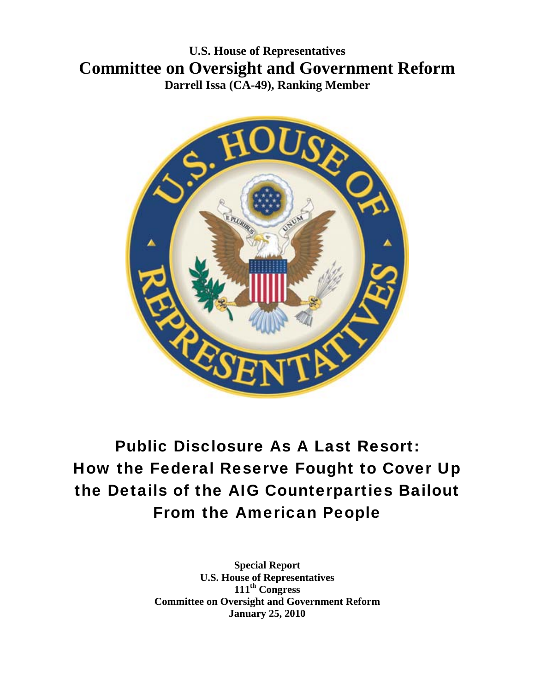# **U.S. House of Representatives Committee on Oversight and Government Reform Darrell Issa (CA-49), Ranking Member**



# Public Disclosure As A Last Resort: How the Federal Reserve Fought to Cover Up the Details of the AIG Counterparties Bailout From the American People

**Special Report U.S. House of Representatives 111th Congress Committee on Oversight and Government Reform January 25, 2010**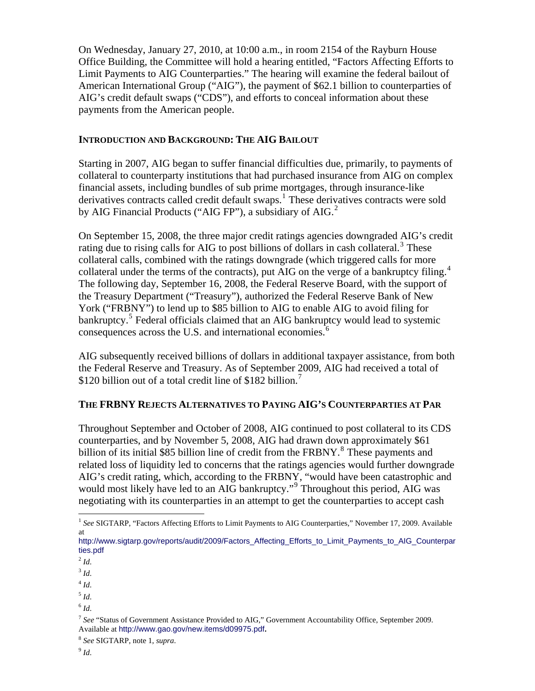On Wednesday, January 27, 2010, at 10:00 a.m., in room 2154 of the Rayburn House Office Building, the Committee will hold a hearing entitled, "Factors Affecting Efforts to Limit Payments to AIG Counterparties." The hearing will examine the federal bailout of American International Group ("AIG"), the payment of \$62.1 billion to counterparties of AIG's credit default swaps ("CDS"), and efforts to conceal information about these payments from the American people.

#### **INTRODUCTION AND BACKGROUND: THE AIG BAILOUT**

Starting in 2007, AIG began to suffer financial difficulties due, primarily, to payments of collateral to counterparty institutions that had purchased insurance from AIG on complex financial assets, including bundles of sub prime mortgages, through insurance-like derivatives contracts called credit default swaps.<sup>[1](#page-1-0)</sup> These derivatives contracts were sold by AIG Financial Products ("AIG FP"), a subsidiary of AIG. $2$ 

On September 15, 2008, the three major credit ratings agencies downgraded AIG's credit rating due to rising calls for AIG to post billions of dollars in cash collateral.<sup>[3](#page-1-2)</sup> These collateral calls, combined with the ratings downgrade (which triggered calls for more collateral under the terms of the contracts), put AIG on the verge of a bankruptcy filing.<sup>[4](#page-1-3)</sup> The following day, September 16, 2008, the Federal Reserve Board, with the support of the Treasury Department ("Treasury"), authorized the Federal Reserve Bank of New York ("FRBNY") to lend up to \$85 billion to AIG to enable AIG to avoid filing for bankruptcy.<sup>[5](#page-1-4)</sup> Federal officials claimed that an AIG bankruptcy would lead to systemic consequences across the U.S. and international economies. $6$ 

AIG subsequently received billions of dollars in additional taxpayer assistance, from both the Federal Reserve and Treasury. As of September 2009, AIG had received a total of \$120 billion out of a total credit line of \$182 billion.<sup>[7](#page-1-6)</sup>

## **THE FRBNY REJECTS ALTERNATIVES TO PAYING AIG'S COUNTERPARTIES AT PAR**

Throughout September and October of 2008, AIG continued to post collateral to its CDS counterparties, and by November 5, 2008, AIG had drawn down approximately \$61 billion of its initial \$[8](#page-1-7)5 billion line of credit from the FRBNY.<sup>8</sup> These payments and related loss of liquidity led to concerns that the ratings agencies would further downgrade AIG's credit rating, which, according to the FRBNY, "would have been catastrophic and would most likely have led to an AIG bankruptcy."<sup>[9](#page-1-8)</sup> Throughout this period, AIG was negotiating with its counterparties in an attempt to get the counterparties to accept cash

- <span id="page-1-2"></span><span id="page-1-1"></span><sup>3</sup> *Id*.
- $4$  *Id.*
- <span id="page-1-4"></span><span id="page-1-3"></span> $<sup>5</sup>$  *Id.*</sup>
- <span id="page-1-5"></span> $6$   $Id.$

<span id="page-1-0"></span><sup>&</sup>lt;sup>1</sup> See SIGTARP, "Factors Affecting Efforts to Limit Payments to AIG Counterparties," November 17, 2009. Available at

[http://www.sigtarp.gov/reports/audit/2009/Factors\\_Affecting\\_Efforts\\_to\\_Limit\\_Payments\\_to\\_AIG\\_Counterpar](http://www.sigtarp.gov/reports/audit/2009/Factors_Affecting_Efforts_to_Limit_Payments_to_AIG_Counterparties.pdf) [ties.pdf](http://www.sigtarp.gov/reports/audit/2009/Factors_Affecting_Efforts_to_Limit_Payments_to_AIG_Counterparties.pdf)

 $^{2}$ *Id.* 

<span id="page-1-6"></span><sup>7</sup> *See* "Status of Government Assistance Provided to AIG," Government Accountability Office, September 2009. Available at <http://www.gao.gov/new.items/d09975.pdf>**.** 

<span id="page-1-8"></span><span id="page-1-7"></span><sup>8</sup> *See* SIGTARP, note 1, *supra*.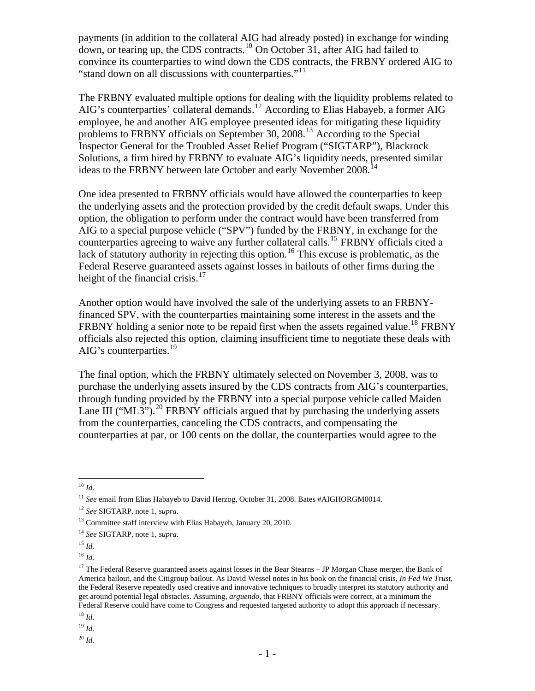payments (in addition to the collateral AIG had already posted) in exchange for winding down, or tearing up, the CDS contracts.<sup>[10](#page-2-0)</sup> On October 31, after AIG had failed to convince its counterparties to wind down the CDS contracts, the FRBNY ordered AIG to "stand down on all discussions with counterparties."<sup>[11](#page-2-1)</sup>

The FRBNY evaluated multiple options for dealing with the liquidity problems related to AIG's counterparties' collateral demands.<sup>[12](#page-2-2)</sup> According to Elias Habayeb, a former AIG employee, he and another AIG employee presented ideas for mitigating these liquidity problems to FRBNY officials on September 30, 2008.<sup>[13](#page-2-3)</sup> According to the Special Inspector General for the Troubled Asset Relief Program ("SIGTARP"), Blackrock Solutions, a firm hired by FRBNY to evaluate AIG's liquidity needs, presented similar ideas to the FRBNY between late October and early November 2008.<sup>[14](#page-2-4)</sup>

One idea presented to FRBNY officials would have allowed the counterparties to keep the underlying assets and the protection provided by the credit default swaps. Under this option, the obligation to perform under the contract would have been transferred from AIG to a special purpose vehicle ("SPV") funded by the FRBNY, in exchange for the counterparties agreeing to waive any further collateral calls.<sup>[15](#page-2-5)</sup> FRBNY officials cited a lack of statutory authority in rejecting this option.<sup>[16](#page-2-6)</sup> This excuse is problematic, as the Federal Reserve guaranteed assets against losses in bailouts of other firms during the height of the financial crisis. $17$ 

Another option would have involved the sale of the underlying assets to an FRBNYfinanced SPV, with the counterparties maintaining some interest in the assets and the FRBNY holding a senior note to be repaid first when the assets regained value.<sup>[18](#page-2-8)</sup> FRBNY officials also rejected this option, claiming insufficient time to negotiate these deals with AIG's counterparties.<sup>[19](#page-2-9)</sup>

The final option, which the FRBNY ultimately selected on November 3, 2008, was to purchase the underlying assets insured by the CDS contracts from AIG's counterparties, through funding provided by the FRBNY into a special purpose vehicle called Maiden Lane III ("ML3").<sup>[20](#page-2-10)</sup> FRBNY officials argued that by purchasing the underlying assets from the counterparties, canceling the CDS contracts, and compensating the counterparties at par, or 100 cents on the dollar, the counterparties would agree to the

 $\overline{a}$ <sup>10</sup> *Id*.

<span id="page-2-1"></span><span id="page-2-0"></span><sup>&</sup>lt;sup>11</sup> *See* email from Elias Habayeb to David Herzog, October 31, 2008. Bates #AIGHORGM0014.

<span id="page-2-2"></span><sup>12</sup> *See* SIGTARP, note 1, *supra*.

<span id="page-2-3"></span><sup>&</sup>lt;sup>13</sup> Committee staff interview with Elias Habayeb, January 20, 2010.

<span id="page-2-4"></span><sup>14</sup> *See* SIGTARP, note 1, *supra*.

<span id="page-2-6"></span><span id="page-2-5"></span> $^{15}$  *Id.* 

<sup>16</sup> *Id*.

<span id="page-2-7"></span><sup>&</sup>lt;sup>17</sup> The Federal Reserve guaranteed assets against losses in the Bear Stearns  $-$  JP Morgan Chase merger, the Bank of America bailout, and the Citigroup bailout. As David Wessel notes in his book on the financial crisis, *In Fed We Trust*, the Federal Reserve repeatedly used creative and innovative techniques to broadly interpret its statutory authority and get around potential legal obstacles. Assuming, *arguendo*, that FRBNY officials were correct, at a minimum the Federal Reserve could have come to Congress and requested targeted authority to adopt this approach if necessary.

<span id="page-2-8"></span><sup>18</sup> *Id*.

<span id="page-2-9"></span><sup>19</sup> *Id*.

<span id="page-2-10"></span><sup>20</sup> *Id*.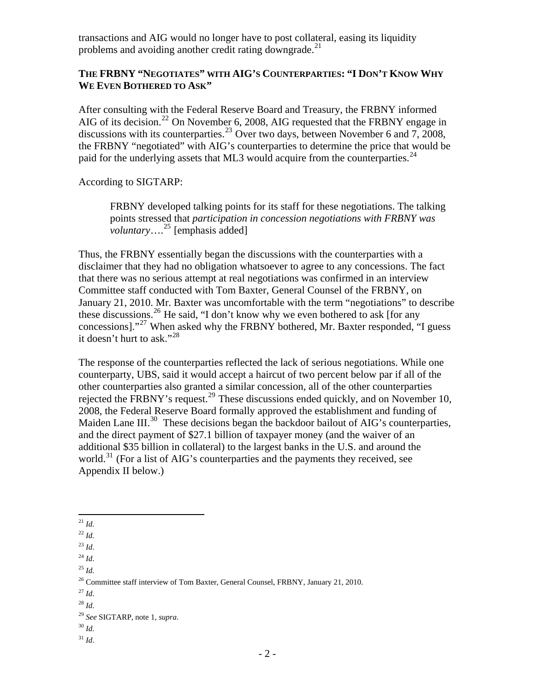transactions and AIG would no longer have to post collateral, easing its liquidity problems and avoiding another credit rating downgrade.<sup>[21](#page-3-0)</sup>

#### **THE FRBNY "NEGOTIATES" WITH AIG'S COUNTERPARTIES: "I DON'T KNOW WHY WE EVEN BOTHERED TO ASK"**

After consulting with the Federal Reserve Board and Treasury, the FRBNY informed AIG of its decision.<sup>[22](#page-3-1)</sup> On November 6, 2008, AIG requested that the FRBNY engage in discussions with its counterparties.<sup>[23](#page-3-2)</sup> Over two days, between November 6 and 7, 2008, the FRBNY "negotiated" with AIG's counterparties to determine the price that would be paid for the underlying assets that ML3 would acquire from the counterparties.<sup>[24](#page-3-3)</sup>

According to SIGTARP:

FRBNY developed talking points for its staff for these negotiations. The talking points stressed that *participation in concession negotiations with FRBNY was voluntary*….<sup>[25](#page-3-4)</sup> [emphasis added]

Thus, the FRBNY essentially began the discussions with the counterparties with a disclaimer that they had no obligation whatsoever to agree to any concessions. The fact that there was no serious attempt at real negotiations was confirmed in an interview Committee staff conducted with Tom Baxter, General Counsel of the FRBNY, on January 21, 2010. Mr. Baxter was uncomfortable with the term "negotiations" to describe these discussions.<sup>[26](#page-3-5)</sup> He said, "I don't know why we even bothered to ask [for any concessions]."<sup>[27](#page-3-6)</sup> When asked why the FRBNY bothered, Mr. Baxter responded, "I guess it doesn't hurt to ask."<sup>[28](#page-3-7)</sup>

The response of the counterparties reflected the lack of serious negotiations. While one counterparty, UBS, said it would accept a haircut of two percent below par if all of the other counterparties also granted a similar concession, all of the other counterparties rejected the FRBNY's request.<sup>[29](#page-3-8)</sup> These discussions ended quickly, and on November 10, 2008, the Federal Reserve Board formally approved the establishment and funding of Maiden Lane III.<sup>[30](#page-3-9)</sup> These decisions began the backdoor bailout of AIG's counterparties, and the direct payment of \$27.1 billion of taxpayer money (and the waiver of an additional \$35 billion in collateral) to the largest banks in the U.S. and around the world.<sup>[31](#page-3-10)</sup> (For a list of AIG's counterparties and the payments they received, see Appendix II below.)

<span id="page-3-7"></span><sup>28</sup> *Id*.

<span id="page-3-10"></span><sup>31</sup> *Id*.

 $\overline{a}$ <sup>21</sup> *Id*.

<span id="page-3-1"></span><span id="page-3-0"></span><sup>22</sup> *Id*.

<span id="page-3-2"></span> $^{23}$  *Id.* 

<span id="page-3-3"></span> $^{24}$  *Id.* 

<span id="page-3-4"></span><sup>25</sup> *Id*.

<span id="page-3-5"></span><sup>&</sup>lt;sup>26</sup> Committee staff interview of Tom Baxter, General Counsel, FRBNY, January 21, 2010.

<span id="page-3-6"></span><sup>27</sup> *Id*.

<span id="page-3-8"></span><sup>29</sup> *See* SIGTARP, note 1, *supra*.

<span id="page-3-9"></span><sup>30</sup> *Id*.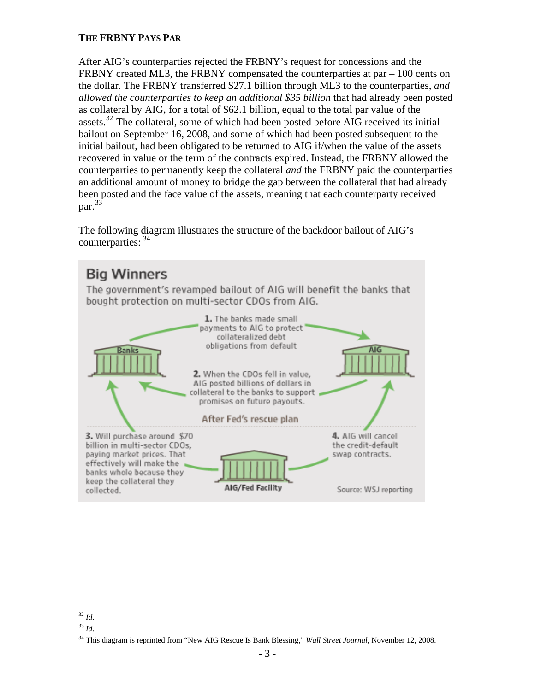## **THE FRBNY PAYS PAR**

After AIG's counterparties rejected the FRBNY's request for concessions and the FRBNY created ML3, the FRBNY compensated the counterparties at par  $-100$  cents on the dollar. The FRBNY transferred \$27.1 billion through ML3 to the counterparties, *and allowed the counterparties to keep an additional \$35 billion* that had already been posted as collateral by AIG, for a total of \$62.1 billion, equal to the total par value of the assets.<sup>[32](#page-4-0)</sup> The collateral, some of which had been posted before AIG received its initial bailout on September 16, 2008, and some of which had been posted subsequent to the initial bailout, had been obligated to be returned to AIG if/when the value of the assets recovered in value or the term of the contracts expired. Instead, the FRBNY allowed the counterparties to permanently keep the collateral *and* the FRBNY paid the counterparties an additional amount of money to bridge the gap between the collateral that had already been posted and the face value of the assets, meaning that each counterparty received  $par.<sup>33</sup>$  $par.<sup>33</sup>$  $par.<sup>33</sup>$ 

The following diagram illustrates the structure of the backdoor bailout of AIG's counterparties: [34](#page-4-2)

#### **Big Winners** The government's revamped bailout of AIG will benefit the banks that bought protection on multi-sector CDOs from AIG. 1. The banks made small payments to AIG to protect collateralized debt obligations from default 2. When the CDOs fell in value, AIG posted billions of dollars in collateral to the banks to support promises on future payouts. After Fed's rescue plan 3. Will purchase around \$70 4. AIG will cancel billion in multi-sector CDOs, the credit-default paying market prices. That swap contracts. effectively will make the banks whole because they keep the collateral they AIG/Fed Facility collected. Source: WSJ reporting

 $\overline{a}$ <sup>32</sup> *Id*.

<span id="page-4-1"></span><span id="page-4-0"></span><sup>33</sup> *Id*.

<span id="page-4-2"></span><sup>34</sup> This diagram is reprinted from "New AIG Rescue Is Bank Blessing," *Wall Street Journal*, November 12, 2008.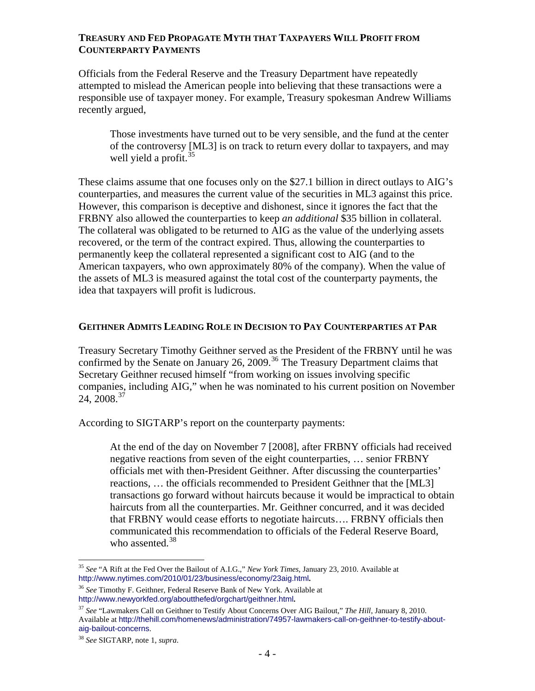#### **TREASURY AND FED PROPAGATE MYTH THAT TAXPAYERS WILL PROFIT FROM COUNTERPARTY PAYMENTS**

Officials from the Federal Reserve and the Treasury Department have repeatedly attempted to mislead the American people into believing that these transactions were a responsible use of taxpayer money. For example, Treasury spokesman Andrew Williams recently argued,

Those investments have turned out to be very sensible, and the fund at the center of the controversy [ML3] is on track to return every dollar to taxpayers, and may well yield a profit.<sup>[35](#page-5-0)</sup>

These claims assume that one focuses only on the \$27.1 billion in direct outlays to AIG's counterparties, and measures the current value of the securities in ML3 against this price. However, this comparison is deceptive and dishonest, since it ignores the fact that the FRBNY also allowed the counterparties to keep *an additional* \$35 billion in collateral. The collateral was obligated to be returned to AIG as the value of the underlying assets recovered, or the term of the contract expired. Thus, allowing the counterparties to permanently keep the collateral represented a significant cost to AIG (and to the American taxpayers, who own approximately 80% of the company). When the value of the assets of ML3 is measured against the total cost of the counterparty payments, the idea that taxpayers will profit is ludicrous.

## **GEITHNER ADMITS LEADING ROLE IN DECISION TO PAY COUNTERPARTIES AT PAR**

Treasury Secretary Timothy Geithner served as the President of the FRBNY until he was confirmed by the Senate on January 26, 2009.<sup>[36](#page-5-1)</sup> The Treasury Department claims that Secretary Geithner recused himself "from working on issues involving specific companies, including AIG," when he was nominated to his current position on November 24, 2008.<sup>[37](#page-5-2)</sup>

According to SIGTARP's report on the counterparty payments:

At the end of the day on November 7 [2008], after FRBNY officials had received negative reactions from seven of the eight counterparties, … senior FRBNY officials met with then-President Geithner. After discussing the counterparties' reactions, … the officials recommended to President Geithner that the [ML3] transactions go forward without haircuts because it would be impractical to obtain haircuts from all the counterparties. Mr. Geithner concurred, and it was decided that FRBNY would cease efforts to negotiate haircuts…. FRBNY officials then communicated this recommendation to officials of the Federal Reserve Board, who assented. $38$ 

<span id="page-5-0"></span> $\overline{a}$ <sup>35</sup> *See* "A Rift at the Fed Over the Bailout of A.I.G.," *New York Times*, January 23, 2010. Available at <http://www.nytimes.com/2010/01/23/business/economy/23aig.html>**.** 

<span id="page-5-1"></span><sup>36</sup> *See* Timothy F. Geithner, Federal Reserve Bank of New York. Available at <http://www.newyorkfed.org/aboutthefed/orgchart/geithner.html>**.**

<span id="page-5-2"></span><sup>37</sup> *See* "Lawmakers Call on Geithner to Testify About Concerns Over AIG Bailout," *The Hill*, January 8, 2010. Available at [http://thehill.com/homenews/administration/74957-lawmakers-call-on-geithner-to-testify-about](http://thehill.com/homenews/administration/74957-lawmakers-call-on-geithner-to-testify-about-aig-bailout-concerns)[aig-bailout-concerns](http://thehill.com/homenews/administration/74957-lawmakers-call-on-geithner-to-testify-about-aig-bailout-concerns).

<span id="page-5-3"></span><sup>38</sup> *See* SIGTARP, note 1, *supra*.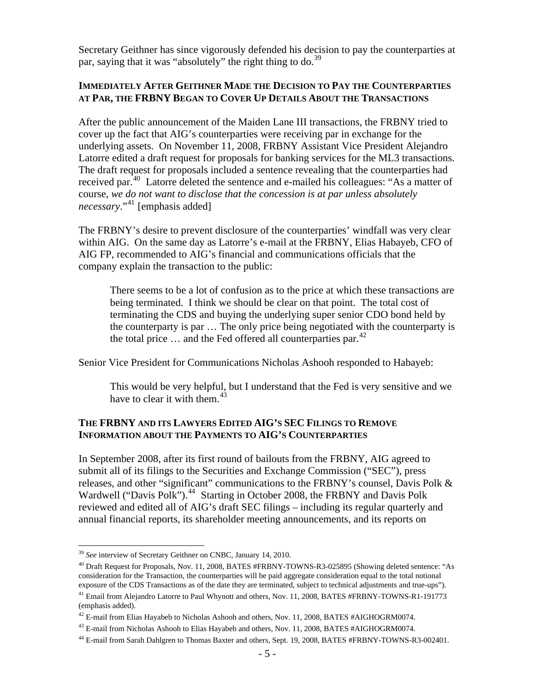Secretary Geithner has since vigorously defended his decision to pay the counterparties at par, saying that it was "absolutely" the right thing to do.<sup>[39](#page-6-0)</sup>

#### **IMMEDIATELY AFTER GEITHNER MADE THE DECISION TO PAY THE COUNTERPARTIES AT PAR, THE FRBNY BEGAN TO COVER UP DETAILS ABOUT THE TRANSACTIONS**

After the public announcement of the Maiden Lane III transactions, the FRBNY tried to cover up the fact that AIG's counterparties were receiving par in exchange for the underlying assets. On November 11, 2008, FRBNY Assistant Vice President Alejandro Latorre edited a draft request for proposals for banking services for the ML3 transactions. The draft request for proposals included a sentence revealing that the counterparties had received par.<sup>[40](#page-6-1)</sup> Latorre deleted the sentence and e-mailed his colleagues: "As a matter of course, *we do not want to disclose that the concession is at par unless absolutely necessary*."[41](#page-6-2) [emphasis added]

The FRBNY's desire to prevent disclosure of the counterparties' windfall was very clear within AIG. On the same day as Latorre's e-mail at the FRBNY, Elias Habayeb, CFO of AIG FP, recommended to AIG's financial and communications officials that the company explain the transaction to the public:

There seems to be a lot of confusion as to the price at which these transactions are being terminated. I think we should be clear on that point. The total cost of terminating the CDS and buying the underlying super senior CDO bond held by the counterparty is par … The only price being negotiated with the counterparty is the total price  $\ldots$  and the Fed offered all counterparties par.<sup>[42](#page-6-3)</sup>

Senior Vice President for Communications Nicholas Ashooh responded to Habayeb:

This would be very helpful, but I understand that the Fed is very sensitive and we have to clear it with them.<sup>[43](#page-6-4)</sup>

#### **THE FRBNY AND ITS LAWYERS EDITED AIG'S SEC FILINGS TO REMOVE INFORMATION ABOUT THE PAYMENTS TO AIG'S COUNTERPARTIES**

In September 2008, after its first round of bailouts from the FRBNY, AIG agreed to submit all of its filings to the Securities and Exchange Commission ("SEC"), press releases, and other "significant" communications to the FRBNY's counsel, Davis Polk & Wardwell ("Davis Polk").<sup>[44](#page-6-5)</sup> Starting in October 2008, the FRBNY and Davis Polk reviewed and edited all of AIG's draft SEC filings – including its regular quarterly and annual financial reports, its shareholder meeting announcements, and its reports on

<span id="page-6-0"></span><sup>39</sup> *See* interview of Secretary Geithner on CNBC, January 14, 2010.

<span id="page-6-1"></span><sup>&</sup>lt;sup>40</sup> Draft Request for Proposals, Nov. 11, 2008, BATES #FRBNY-TOWNS-R3-025895 (Showing deleted sentence: "As consideration for the Transaction, the counterparties will be paid aggregate consideration equal to the total notional exposure of the CDS Transactions as of the date they are terminated, subject to technical adjustments and true-ups").

<span id="page-6-2"></span><sup>41</sup> Email from Alejandro Latorre to Paul Whynott and others, Nov. 11, 2008, BATES #FRBNY-TOWNS-R1-191773 (emphasis added).

<span id="page-6-3"></span><sup>&</sup>lt;sup>42</sup> E-mail from Elias Hayabeb to Nicholas Ashooh and others, Nov. 11, 2008, BATES #AIGHOGRM0074.

<span id="page-6-4"></span> $^{43}$  E-mail from Nicholas Ashooh to Elias Hayabeb and others, Nov. 11, 2008, BATES #AIGHOGRM0074.

<span id="page-6-5"></span><sup>44</sup> E-mail from Sarah Dahlgren to Thomas Baxter and others, Sept. 19, 2008, BATES #FRBNY-TOWNS-R3-002401.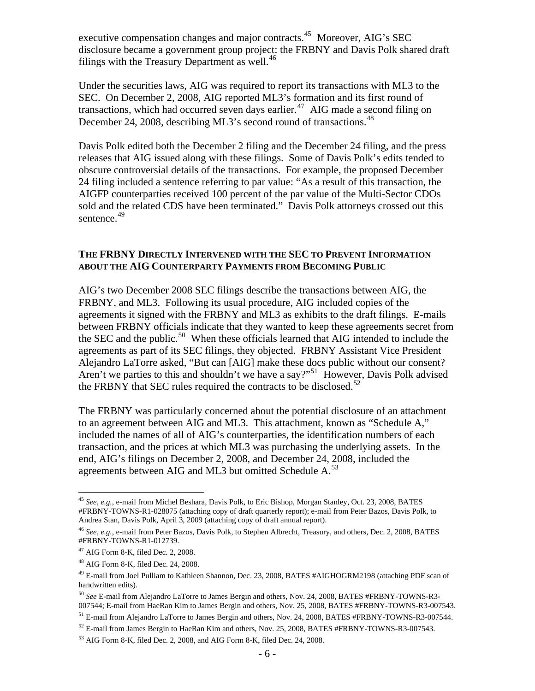executive compensation changes and major contracts.<sup>[45](#page-7-0)</sup> Moreover, AIG's SEC disclosure became a government group project: the FRBNY and Davis Polk shared draft filings with the Treasury Department as well. $^{46}$  $^{46}$  $^{46}$ 

Under the securities laws, AIG was required to report its transactions with ML3 to the SEC. On December 2, 2008, AIG reported ML3's formation and its first round of transactions, which had occurred seven days earlier.<sup>[47](#page-7-2)</sup> AIG made a second filing on December 24, 2008, describing ML3's second round of transactions.<sup>[48](#page-7-3)</sup>

Davis Polk edited both the December 2 filing and the December 24 filing, and the press releases that AIG issued along with these filings. Some of Davis Polk's edits tended to obscure controversial details of the transactions. For example, the proposed December 24 filing included a sentence referring to par value: "As a result of this transaction, the AIGFP counterparties received 100 percent of the par value of the Multi-Sector CDOs sold and the related CDS have been terminated." Davis Polk attorneys crossed out this sentence.<sup>[49](#page-7-4)</sup>

#### **THE FRBNY DIRECTLY INTERVENED WITH THE SEC TO PREVENT INFORMATION ABOUT THE AIG COUNTERPARTY PAYMENTS FROM BECOMING PUBLIC**

AIG's two December 2008 SEC filings describe the transactions between AIG, the FRBNY, and ML3. Following its usual procedure, AIG included copies of the agreements it signed with the FRBNY and ML3 as exhibits to the draft filings. E-mails between FRBNY officials indicate that they wanted to keep these agreements secret from the SEC and the public.<sup>[50](#page-7-5)</sup> When these officials learned that AIG intended to include the agreements as part of its SEC filings, they objected. FRBNY Assistant Vice President Alejandro LaTorre asked, "But can [AIG] make these docs public without our consent? Aren't we parties to this and shouldn't we have a say?"<sup>[51](#page-7-6)</sup> However, Davis Polk advised the FRBNY that SEC rules required the contracts to be disclosed.<sup>[52](#page-7-7)</sup>

The FRBNY was particularly concerned about the potential disclosure of an attachment to an agreement between AIG and ML3. This attachment, known as "Schedule A," included the names of all of AIG's counterparties, the identification numbers of each transaction, and the prices at which ML3 was purchasing the underlying assets. In the end, AIG's filings on December 2, 2008, and December 24, 2008, included the agreements between AIG and ML3 but omitted Schedule  $A$ <sup>[53](#page-7-8)</sup>

<span id="page-7-0"></span> $\overline{a}$ <sup>45</sup> *See, e.g.*, e-mail from Michel Beshara, Davis Polk, to Eric Bishop, Morgan Stanley, Oct. 23, 2008, BATES #FRBNY-TOWNS-R1-028075 (attaching copy of draft quarterly report); e-mail from Peter Bazos, Davis Polk, to Andrea Stan, Davis Polk, April 3, 2009 (attaching copy of draft annual report).

<span id="page-7-1"></span><sup>46</sup> *See, e.g.*, e-mail from Peter Bazos, Davis Polk, to Stephen Albrecht, Treasury, and others, Dec. 2, 2008, BATES #FRBNY-TOWNS-R1-012739.

<span id="page-7-2"></span> $47$  AIG Form 8-K, filed Dec. 2, 2008.

<span id="page-7-3"></span> $48$  AIG Form 8-K, filed Dec. 24, 2008.

<span id="page-7-4"></span><sup>&</sup>lt;sup>49</sup> E-mail from Joel Pulliam to Kathleen Shannon, Dec. 23, 2008, BATES #AIGHOGRM2198 (attaching PDF scan of handwritten edits).

<span id="page-7-5"></span><sup>50</sup> *See* E-mail from Alejandro LaTorre to James Bergin and others, Nov. 24, 2008, BATES #FRBNY-TOWNS-R3- 007544; E-mail from HaeRan Kim to James Bergin and others, Nov. 25, 2008, BATES #FRBNY-TOWNS-R3-007543.

<span id="page-7-6"></span><sup>&</sup>lt;sup>51</sup> E-mail from Alejandro LaTorre to James Bergin and others, Nov. 24, 2008, BATES #FRBNY-TOWNS-R3-007544.

<span id="page-7-7"></span> $52$  E-mail from James Bergin to HaeRan Kim and others, Nov. 25, 2008, BATES #FRBNY-TOWNS-R3-007543.

<span id="page-7-8"></span><sup>53</sup> AIG Form 8-K, filed Dec. 2, 2008, and AIG Form 8-K, filed Dec. 24, 2008.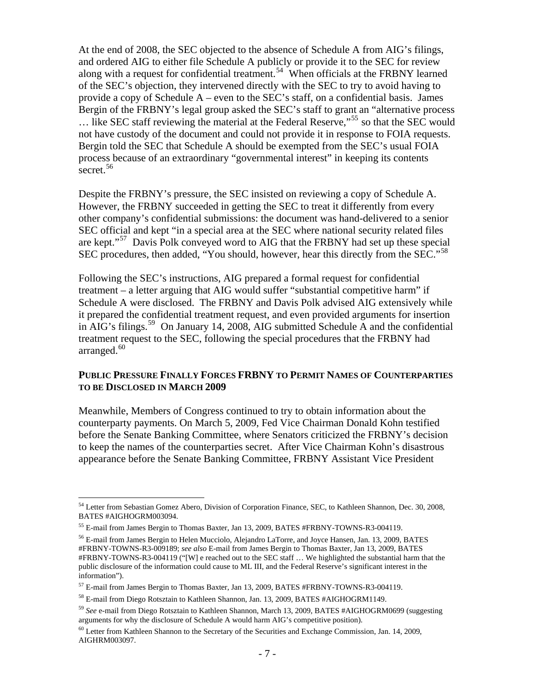At the end of 2008, the SEC objected to the absence of Schedule A from AIG's filings, and ordered AIG to either file Schedule A publicly or provide it to the SEC for review along with a request for confidential treatment.<sup>[54](#page-8-0)</sup> When officials at the FRBNY learned of the SEC's objection, they intervened directly with the SEC to try to avoid having to provide a copy of Schedule  $A$  – even to the SEC's staff, on a confidential basis. James Bergin of the FRBNY's legal group asked the SEC's staff to grant an "alternative process  $\ldots$  like SEC staff reviewing the material at the Federal Reserve,"<sup>[55](#page-8-1)</sup> so that the SEC would not have custody of the document and could not provide it in response to FOIA requests. Bergin told the SEC that Schedule A should be exempted from the SEC's usual FOIA process because of an extraordinary "governmental interest" in keeping its contents secret.<sup>[56](#page-8-2)</sup>

Despite the FRBNY's pressure, the SEC insisted on reviewing a copy of Schedule A. However, the FRBNY succeeded in getting the SEC to treat it differently from every other company's confidential submissions: the document was hand-delivered to a senior SEC official and kept "in a special area at the SEC where national security related files are kept."<sup>[57](#page-8-3)</sup> Davis Polk conveyed word to AIG that the FRBNY had set up these special SEC procedures, then added, "You should, however, hear this directly from the SEC."<sup>[58](#page-8-4)</sup>

Following the SEC's instructions, AIG prepared a formal request for confidential treatment – a letter arguing that AIG would suffer "substantial competitive harm" if Schedule A were disclosed. The FRBNY and Davis Polk advised AIG extensively while it prepared the confidential treatment request, and even provided arguments for insertion in AIG's filings.<sup>[59](#page-8-5)</sup> On January 14, 2008, AIG submitted Schedule A and the confidential treatment request to the SEC, following the special procedures that the FRBNY had arranged. $60$ 

#### **PUBLIC PRESSURE FINALLY FORCES FRBNY TO PERMIT NAMES OF COUNTERPARTIES TO BE DISCLOSED IN MARCH 2009**

Meanwhile, Members of Congress continued to try to obtain information about the counterparty payments. On March 5, 2009, Fed Vice Chairman Donald Kohn testified before the Senate Banking Committee, where Senators criticized the FRBNY's decision to keep the names of the counterparties secret. After Vice Chairman Kohn's disastrous appearance before the Senate Banking Committee, FRBNY Assistant Vice President

<span id="page-8-0"></span><sup>&</sup>lt;sup>54</sup> Letter from Sebastian Gomez Abero, Division of Corporation Finance, SEC, to Kathleen Shannon, Dec. 30, 2008, BATES #AIGHOGRM003094.

<span id="page-8-1"></span><sup>55</sup> E-mail from James Bergin to Thomas Baxter, Jan 13, 2009, BATES #FRBNY-TOWNS-R3-004119.

<span id="page-8-2"></span><sup>56</sup> E-mail from James Bergin to Helen Mucciolo, Alejandro LaTorre, and Joyce Hansen, Jan. 13, 2009, BATES #FRBNY-TOWNS-R3-009189; *see also* E-mail from James Bergin to Thomas Baxter, Jan 13, 2009, BATES #FRBNY-TOWNS-R3-004119 ("[W] e reached out to the SEC staff … We highlighted the substantial harm that the public disclosure of the information could cause to ML III, and the Federal Reserve's significant interest in the information").

<span id="page-8-3"></span><sup>57</sup> E-mail from James Bergin to Thomas Baxter, Jan 13, 2009, BATES #FRBNY-TOWNS-R3-004119.

<span id="page-8-4"></span><sup>58</sup> E-mail from Diego Rotsztain to Kathleen Shannon, Jan. 13, 2009, BATES #AIGHOGRM1149.

<span id="page-8-5"></span><sup>59</sup> *See* e-mail from Diego Rotsztain to Kathleen Shannon, March 13, 2009, BATES #AIGHOGRM0699 (suggesting arguments for why the disclosure of Schedule A would harm AIG's competitive position).

<span id="page-8-6"></span> $60$  Letter from Kathleen Shannon to the Secretary of the Securities and Exchange Commission, Jan. 14, 2009, AIGHRM003097.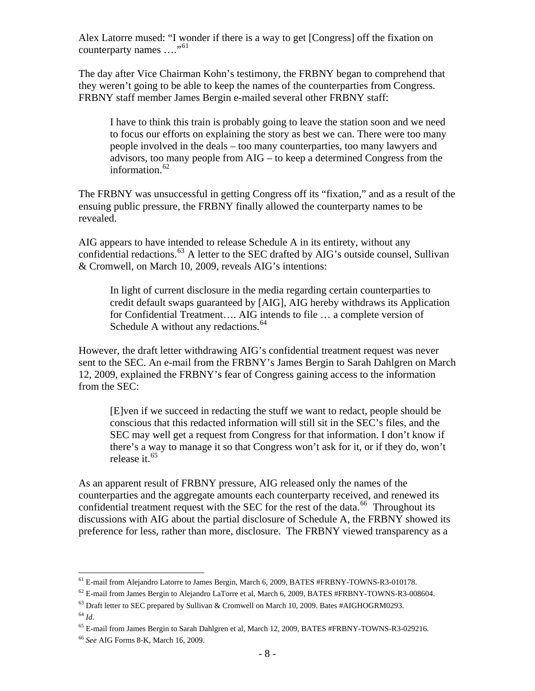Alex Latorre mused: "I wonder if there is a way to get [Congress] off the fixation on counterparty names ...."<sup>[61](#page-9-0)</sup>

The day after Vice Chairman Kohn's testimony, the FRBNY began to comprehend that they weren't going to be able to keep the names of the counterparties from Congress. FRBNY staff member James Bergin e-mailed several other FRBNY staff:

I have to think this train is probably going to leave the station soon and we need to focus our efforts on explaining the story as best we can. There were too many people involved in the deals – too many counterparties, too many lawyers and advisors, too many people from AIG – to keep a determined Congress from the information. $62$ 

The FRBNY was unsuccessful in getting Congress off its "fixation," and as a result of the ensuing public pressure, the FRBNY finally allowed the counterparty names to be revealed.

AIG appears to have intended to release Schedule A in its entirety, without any confidential redactions.<sup>[63](#page-9-2)</sup> A letter to the SEC drafted by AIG's outside counsel, Sullivan & Cromwell, on March 10, 2009, reveals AIG's intentions:

In light of current disclosure in the media regarding certain counterparties to credit default swaps guaranteed by [AIG], AIG hereby withdraws its Application for Confidential Treatment…. AIG intends to file … a complete version of Schedule A without any redactions. $64$ 

However, the draft letter withdrawing AIG's confidential treatment request was never sent to the SEC. An e-mail from the FRBNY's James Bergin to Sarah Dahlgren on March 12, 2009, explained the FRBNY's fear of Congress gaining access to the information from the SEC:

[E]ven if we succeed in redacting the stuff we want to redact, people should be conscious that this redacted information will still sit in the SEC's files, and the SEC may well get a request from Congress for that information. I don't know if there's a way to manage it so that Congress won't ask for it, or if they do, won't release it.<sup>[65](#page-9-4)</sup>

As an apparent result of FRBNY pressure, AIG released only the names of the counterparties and the aggregate amounts each counterparty received, and renewed its confidential treatment request with the SEC for the rest of the data.<sup>[66](#page-9-5)</sup> Throughout its discussions with AIG about the partial disclosure of Schedule A, the FRBNY showed its preference for less, rather than more, disclosure. The FRBNY viewed transparency as a

<sup>&</sup>lt;sup>61</sup> E-mail from Alejandro Latorre to James Bergin, March 6, 2009, BATES #FRBNY-TOWNS-R3-010178.

<span id="page-9-1"></span><span id="page-9-0"></span><sup>&</sup>lt;sup>62</sup> E-mail from James Bergin to Alejandro LaTorre et al, March 6, 2009, BATES #FRBNY-TOWNS-R3-008604.

<span id="page-9-2"></span> $^{63}$  Draft letter to SEC prepared by Sullivan & Cromwell on March 10, 2009. Bates #AIGHOGRM0293.

<span id="page-9-3"></span><sup>64</sup> *Id*.

<span id="page-9-4"></span><sup>65</sup> E-mail from James Bergin to Sarah Dahlgren et al, March 12, 2009, BATES #FRBNY-TOWNS-R3-029216.

<span id="page-9-5"></span><sup>66</sup> *See* AIG Forms 8-K, March 16, 2009.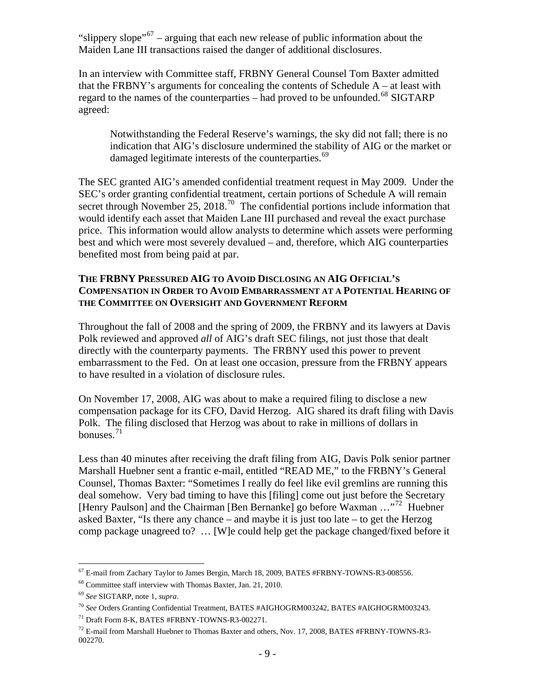"slippery slope"<sup>[67](#page-10-0)</sup> – arguing that each new release of public information about the Maiden Lane III transactions raised the danger of additional disclosures.

In an interview with Committee staff, FRBNY General Counsel Tom Baxter admitted that the FRBNY's arguments for concealing the contents of Schedule  $A - at$  least with regard to the names of the counterparties – had proved to be unfounded.<sup>[68](#page-10-1)</sup> SIGTARP agreed:

Notwithstanding the Federal Reserve's warnings, the sky did not fall; there is no indication that AIG's disclosure undermined the stability of AIG or the market or damaged legitimate interests of the counterparties.<sup>[69](#page-10-2)</sup>

The SEC granted AIG's amended confidential treatment request in May 2009. Under the SEC's order granting confidential treatment, certain portions of Schedule A will remain secret through November 25, 2018.<sup>[70](#page-10-3)</sup> The confidential portions include information that would identify each asset that Maiden Lane III purchased and reveal the exact purchase price. This information would allow analysts to determine which assets were performing best and which were most severely devalued – and, therefore, which AIG counterparties benefited most from being paid at par.

## **THE FRBNY PRESSURED AIG TO AVOID DISCLOSING AN AIG OFFICIAL'S COMPENSATION IN ORDER TO AVOID EMBARRASSMENT AT A POTENTIAL HEARING OF THE COMMITTEE ON OVERSIGHT AND GOVERNMENT REFORM**

Throughout the fall of 2008 and the spring of 2009, the FRBNY and its lawyers at Davis Polk reviewed and approved *all* of AIG's draft SEC filings, not just those that dealt directly with the counterparty payments. The FRBNY used this power to prevent embarrassment to the Fed. On at least one occasion, pressure from the FRBNY appears to have resulted in a violation of disclosure rules.

On November 17, 2008, AIG was about to make a required filing to disclose a new compensation package for its CFO, David Herzog. AIG shared its draft filing with Davis Polk. The filing disclosed that Herzog was about to rake in millions of dollars in bonuses. $^{71}$  $^{71}$  $^{71}$ 

Less than 40 minutes after receiving the draft filing from AIG, Davis Polk senior partner Marshall Huebner sent a frantic e-mail, entitled "READ ME," to the FRBNY's General Counsel, Thomas Baxter: "Sometimes I really do feel like evil gremlins are running this deal somehow. Very bad timing to have this [filing] come out just before the Secretary [Henry Paulson] and the Chairman [Ben Bernanke] go before Waxman ..."<sup>[72](#page-10-5)</sup> Huebner asked Baxter, "Is there any chance – and maybe it is just too late – to get the Herzog comp package unagreed to? … [W]e could help get the package changed/fixed before it

 $\overline{a}$  $^{67}$  E-mail from Zachary Taylor to James Bergin, March 18, 2009, BATES #FRBNY-TOWNS-R3-008556.

<span id="page-10-1"></span><span id="page-10-0"></span><sup>68</sup> Committee staff interview with Thomas Baxter, Jan. 21, 2010.

<span id="page-10-2"></span><sup>69</sup> *See* SIGTARP, note 1, *supra*.

<span id="page-10-3"></span><sup>70</sup> *See* Orders Granting Confidential Treatment, BATES #AIGHOGRM003242, BATES #AIGHOGRM003243.

<span id="page-10-4"></span><sup>71</sup> Draft Form 8-K, BATES #FRBNY-TOWNS-R3-002271.

<span id="page-10-5"></span> $^{72}$  E-mail from Marshall Huebner to Thomas Baxter and others, Nov. 17, 2008, BATES #FRBNY-TOWNS-R3-002270.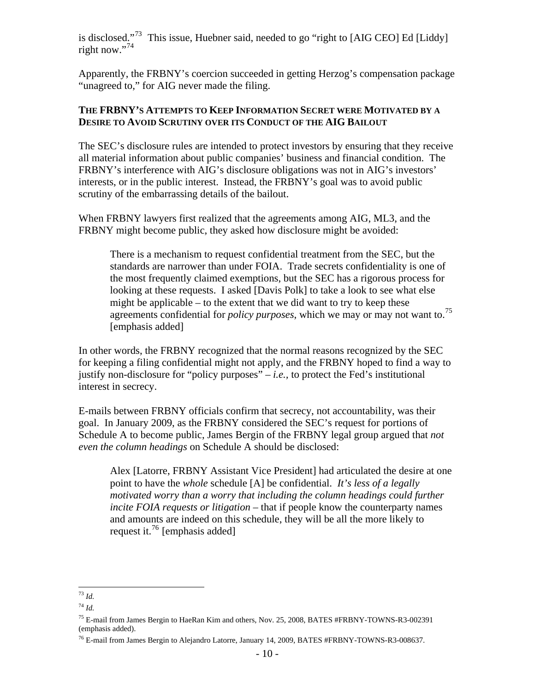is disclosed."<sup>[73](#page-11-0)</sup> This issue, Huebner said, needed to go "right to [AIG CEO] Ed [Liddy] right now."[74](#page-11-1)

Apparently, the FRBNY's coercion succeeded in getting Herzog's compensation package "unagreed to," for AIG never made the filing.

#### **THE FRBNY'S ATTEMPTS TO KEEP INFORMATION SECRET WERE MOTIVATED BY A DESIRE TO AVOID SCRUTINY OVER ITS CONDUCT OF THE AIG BAILOUT**

The SEC's disclosure rules are intended to protect investors by ensuring that they receive all material information about public companies' business and financial condition. The FRBNY's interference with AIG's disclosure obligations was not in AIG's investors' interests, or in the public interest. Instead, the FRBNY's goal was to avoid public scrutiny of the embarrassing details of the bailout.

When FRBNY lawyers first realized that the agreements among AIG, ML3, and the FRBNY might become public, they asked how disclosure might be avoided:

There is a mechanism to request confidential treatment from the SEC, but the standards are narrower than under FOIA. Trade secrets confidentiality is one of the most frequently claimed exemptions, but the SEC has a rigorous process for looking at these requests. I asked [Davis Polk] to take a look to see what else might be applicable – to the extent that we did want to try to keep these agreements confidential for *policy purposes*, which we may or may not want to.[75](#page-11-2) [emphasis added]

In other words, the FRBNY recognized that the normal reasons recognized by the SEC for keeping a filing confidential might not apply, and the FRBNY hoped to find a way to justify non-disclosure for "policy purposes" – *i.e.,* to protect the Fed's institutional interest in secrecy.

E-mails between FRBNY officials confirm that secrecy, not accountability, was their goal. In January 2009, as the FRBNY considered the SEC's request for portions of Schedule A to become public, James Bergin of the FRBNY legal group argued that *not even the column headings* on Schedule A should be disclosed:

Alex [Latorre, FRBNY Assistant Vice President] had articulated the desire at one point to have the *whole* schedule [A] be confidential. *It's less of a legally motivated worry than a worry that including the column headings could further incite FOIA requests or litigation* – that if people know the counterparty names and amounts are indeed on this schedule, they will be all the more likely to request it.<sup>[76](#page-11-3)</sup> [emphasis added]

 $\overline{a}$ <sup>73</sup> *Id.*

<span id="page-11-1"></span><span id="page-11-0"></span><sup>74</sup> *Id.*

<span id="page-11-2"></span><sup>&</sup>lt;sup>75</sup> E-mail from James Bergin to HaeRan Kim and others, Nov. 25, 2008, BATES #FRBNY-TOWNS-R3-002391 (emphasis added).

<span id="page-11-3"></span><sup>76</sup> E-mail from James Bergin to Alejandro Latorre, January 14, 2009, BATES #FRBNY-TOWNS-R3-008637.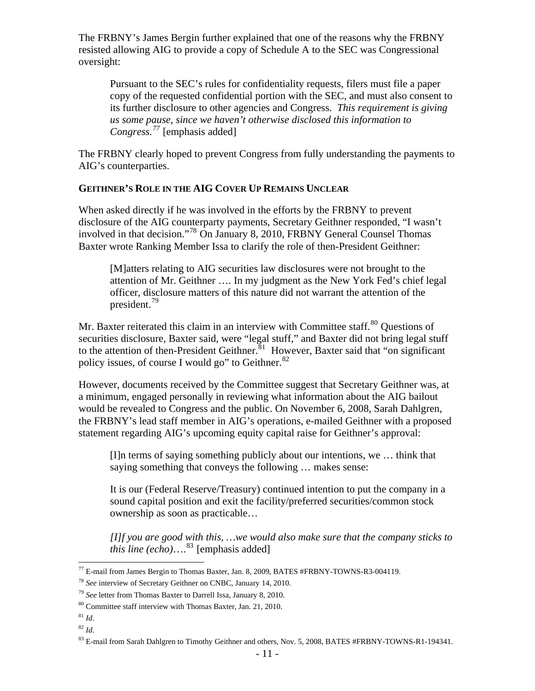The FRBNY's James Bergin further explained that one of the reasons why the FRBNY resisted allowing AIG to provide a copy of Schedule A to the SEC was Congressional oversight:

Pursuant to the SEC's rules for confidentiality requests, filers must file a paper copy of the requested confidential portion with the SEC, and must also consent to its further disclosure to other agencies and Congress. *This requirement is giving us some pause, since we haven't otherwise disclosed this information to Congress.[77](#page-12-0)* [emphasis added]

The FRBNY clearly hoped to prevent Congress from fully understanding the payments to AIG's counterparties.

#### **GEITHNER'S ROLE IN THE AIG COVER UP REMAINS UNCLEAR**

When asked directly if he was involved in the efforts by the FRBNY to prevent disclosure of the AIG counterparty payments, Secretary Geithner responded, "I wasn't involved in that decision."[78](#page-12-1) On January 8, 2010, FRBNY General Counsel Thomas Baxter wrote Ranking Member Issa to clarify the role of then-President Geithner:

[M]atters relating to AIG securities law disclosures were not brought to the attention of Mr. Geithner …. In my judgment as the New York Fed's chief legal officer, disclosure matters of this nature did not warrant the attention of the president.[79](#page-12-2)

Mr. Baxter reiterated this claim in an interview with Committee staff.<sup>[80](#page-12-3)</sup> Ouestions of securities disclosure, Baxter said, were "legal stuff," and Baxter did not bring legal stuff to the attention of then-President Geithner.<sup>[81](#page-12-4)</sup> However, Baxter said that "on significant policy issues, of course I would go" to Geithner.  $82$ 

However, documents received by the Committee suggest that Secretary Geithner was, at a minimum, engaged personally in reviewing what information about the AIG bailout would be revealed to Congress and the public. On November 6, 2008, Sarah Dahlgren, the FRBNY's lead staff member in AIG's operations, e-mailed Geithner with a proposed statement regarding AIG's upcoming equity capital raise for Geithner's approval:

[I]n terms of saying something publicly about our intentions, we … think that saying something that conveys the following … makes sense:

It is our (Federal Reserve/Treasury) continued intention to put the company in a sound capital position and exit the facility/preferred securities/common stock ownership as soon as practicable…

*[I]f you are good with this, …we would also make sure that the company sticks to this line (echo)*….<sup>[83](#page-12-6)</sup> [emphasis added]

<span id="page-12-4"></span> $81$  *Id.* 

 $\overline{a}$ 

<span id="page-12-5"></span><sup>82</sup> *Id*.

<sup>&</sup>lt;sup>77</sup> E-mail from James Bergin to Thomas Baxter, Jan. 8, 2009, BATES #FRBNY-TOWNS-R3-004119.

<span id="page-12-1"></span><span id="page-12-0"></span><sup>78</sup> *See* interview of Secretary Geithner on CNBC, January 14, 2010.

<span id="page-12-2"></span><sup>79</sup> *See* letter from Thomas Baxter to Darrell Issa, January 8, 2010.

<span id="page-12-3"></span><sup>80</sup> Committee staff interview with Thomas Baxter, Jan. 21, 2010.

<span id="page-12-6"></span> $83$  E-mail from Sarah Dahlgren to Timothy Geithner and others, Nov. 5, 2008, BATES #FRBNY-TOWNS-R1-194341.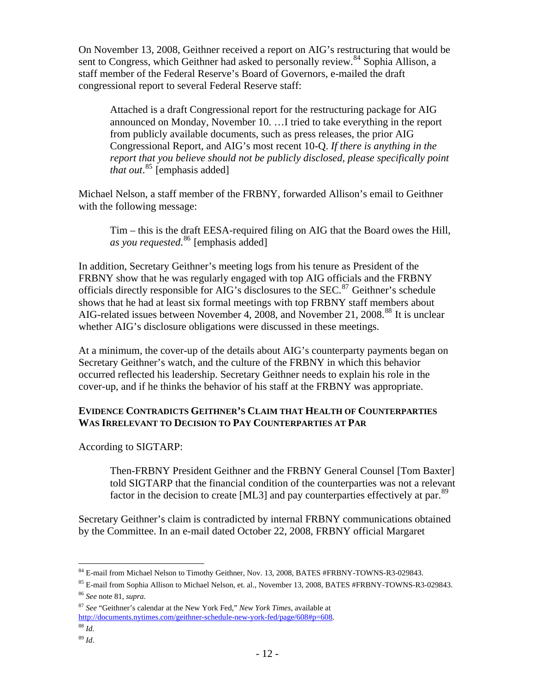On November 13, 2008, Geithner received a report on AIG's restructuring that would be sent to Congress, which Geithner had asked to personally review.<sup>[84](#page-13-0)</sup> Sophia Allison, a staff member of the Federal Reserve's Board of Governors, e-mailed the draft congressional report to several Federal Reserve staff:

Attached is a draft Congressional report for the restructuring package for AIG announced on Monday, November 10. …I tried to take everything in the report from publicly available documents, such as press releases, the prior AIG Congressional Report, and AIG's most recent 10-Q. *If there is anything in the report that you believe should not be publicly disclosed, please specifically point that out*. [85](#page-13-1) [emphasis added]

Michael Nelson, a staff member of the FRBNY, forwarded Allison's email to Geithner with the following message:

Tim – this is the draft EESA-required filing on AIG that the Board owes the Hill, *as you requested*. [86](#page-13-2) [emphasis added]

In addition, Secretary Geithner's meeting logs from his tenure as President of the FRBNY show that he was regularly engaged with top AIG officials and the FRBNY officials directly responsible for AIG's disclosures to the SEC.<sup>[87](#page-13-3)</sup> Geithner's schedule shows that he had at least six formal meetings with top FRBNY staff members about AIG-related issues between November 4, 2008, and November 21, 2008.<sup>[88](#page-13-4)</sup> It is unclear whether AIG's disclosure obligations were discussed in these meetings.

At a minimum, the cover-up of the details about AIG's counterparty payments began on Secretary Geithner's watch, and the culture of the FRBNY in which this behavior occurred reflected his leadership. Secretary Geithner needs to explain his role in the cover-up, and if he thinks the behavior of his staff at the FRBNY was appropriate.

## **EVIDENCE CONTRADICTS GEITHNER'S CLAIM THAT HEALTH OF COUNTERPARTIES WAS IRRELEVANT TO DECISION TO PAY COUNTERPARTIES AT PAR**

According to SIGTARP:

Then-FRBNY President Geithner and the FRBNY General Counsel [Tom Baxter] told SIGTARP that the financial condition of the counterparties was not a relevant factor in the decision to create [ML3] and pay counterparties effectively at par.  $89$ 

Secretary Geithner's claim is contradicted by internal FRBNY communications obtained by the Committee. In an e-mail dated October 22, 2008, FRBNY official Margaret

 $\overline{a}$ <sup>84</sup> E-mail from Michael Nelson to Timothy Geithner, Nov. 13, 2008, BATES #FRBNY-TOWNS-R3-029843.

<span id="page-13-1"></span><span id="page-13-0"></span><sup>85</sup> E-mail from Sophia Allison to Michael Nelson, et. al., November 13, 2008, BATES #FRBNY-TOWNS-R3-029843. <sup>86</sup> *See* note 81, *supra*.

<span id="page-13-3"></span><span id="page-13-2"></span><sup>87</sup> *See* "Geithner's calendar at the New York Fed," *New York Times*, available at

[http://documents.nytimes.com/geithner-schedule-new-york-fed/page/608#p=608.](http://documents.nytimes.com/geithner-schedule-new-york-fed/page/608#p=608)

<span id="page-13-4"></span><sup>88</sup> *Id*.

<span id="page-13-5"></span><sup>89</sup> *Id*.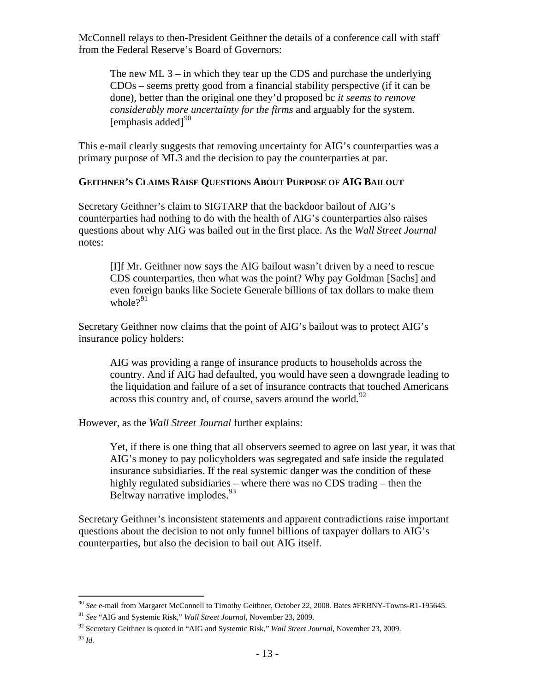McConnell relays to then-President Geithner the details of a conference call with staff from the Federal Reserve's Board of Governors:

The new ML  $3 -$  in which they tear up the CDS and purchase the underlying CDOs – seems pretty good from a financial stability perspective (if it can be done), better than the original one they'd proposed bc *it seems to remove considerably more uncertainty for the firms* and arguably for the system. [emphasis added] $90$ 

This e-mail clearly suggests that removing uncertainty for AIG's counterparties was a primary purpose of ML3 and the decision to pay the counterparties at par.

## **GEITHNER'S CLAIMS RAISE QUESTIONS ABOUT PURPOSE OF AIG BAILOUT**

Secretary Geithner's claim to SIGTARP that the backdoor bailout of AIG's counterparties had nothing to do with the health of AIG's counterparties also raises questions about why AIG was bailed out in the first place. As the *Wall Street Journal*  notes:

[I]f Mr. Geithner now says the AIG bailout wasn't driven by a need to rescue CDS counterparties, then what was the point? Why pay Goldman [Sachs] and even foreign banks like Societe Generale billions of tax dollars to make them whole $?^{91}$  $?^{91}$  $?^{91}$ 

Secretary Geithner now claims that the point of AIG's bailout was to protect AIG's insurance policy holders:

AIG was providing a range of insurance products to households across the country. And if AIG had defaulted, you would have seen a downgrade leading to the liquidation and failure of a set of insurance contracts that touched Americans across this country and, of course, savers around the world.<sup>[92](#page-14-2)</sup>

However, as the *Wall Street Journal* further explains:

Yet, if there is one thing that all observers seemed to agree on last year, it was that AIG's money to pay policyholders was segregated and safe inside the regulated insurance subsidiaries. If the real systemic danger was the condition of these highly regulated subsidiaries – where there was no CDS trading – then the Beltway narrative implodes.<sup>[93](#page-14-3)</sup>

Secretary Geithner's inconsistent statements and apparent contradictions raise important questions about the decision to not only funnel billions of taxpayer dollars to AIG's counterparties, but also the decision to bail out AIG itself.

 $\overline{a}$ <sup>90</sup> *See* e-mail from Margaret McConnell to Timothy Geithner, October 22, 2008. Bates #FRBNY-Towns-R1-195645.

<span id="page-14-1"></span><span id="page-14-0"></span><sup>91</sup> *See* "AIG and Systemic Risk," *Wall Street Journal*, November 23, 2009.

<span id="page-14-2"></span><sup>92</sup> Secretary Geithner is quoted in "AIG and Systemic Risk," *Wall Street Journal*, November 23, 2009.

<span id="page-14-3"></span><sup>93</sup> *Id*.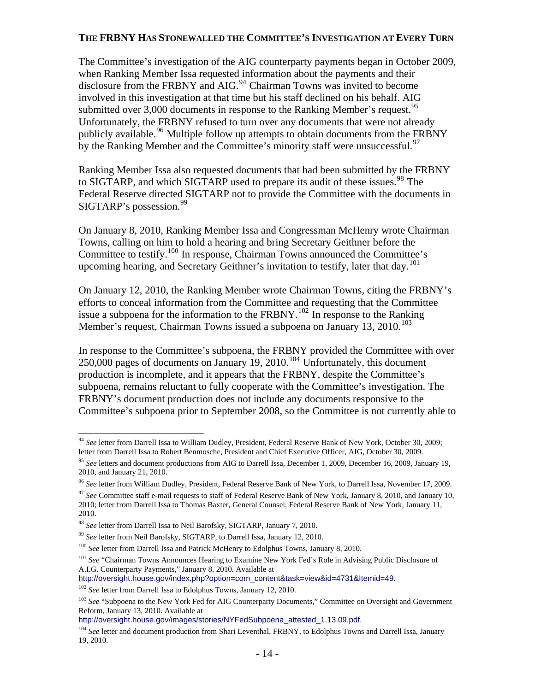#### **THE FRBNY HAS STONEWALLED THE COMMITTEE'S INVESTIGATION AT EVERY TURN**

The Committee's investigation of the AIG counterparty payments began in October 2009, when Ranking Member Issa requested information about the payments and their disclosure from the FRBNY and AIG.<sup>[94](#page-15-0)</sup> Chairman Towns was invited to become involved in this investigation at that time but his staff declined on his behalf. AIG submitted over  $3,000$  documents in response to the Ranking Member's request.<sup>[95](#page-15-1)</sup> Unfortunately, the FRBNY refused to turn over any documents that were not already publicly available.<sup>[96](#page-15-2)</sup> Multiple follow up attempts to obtain documents from the FRBNY by the Ranking Member and the Committee's minority staff were unsuccessful.<sup>[97](#page-15-3)</sup>

Ranking Member Issa also requested documents that had been submitted by the FRBNY to SIGTARP, and which SIGTARP used to prepare its audit of these issues.<sup>[98](#page-15-4)</sup> The Federal Reserve directed SIGTARP not to provide the Committee with the documents in SIGTARP's possession.<sup>[99](#page-15-5)</sup>

On January 8, 2010, Ranking Member Issa and Congressman McHenry wrote Chairman Towns, calling on him to hold a hearing and bring Secretary Geithner before the Committee to testify.<sup>[100](#page-15-6)</sup> In response, Chairman Towns announced the Committee's upcoming hearing, and Secretary Geithner's invitation to testify, later that day.<sup>[101](#page-15-7)</sup>

On January 12, 2010, the Ranking Member wrote Chairman Towns, citing the FRBNY's efforts to conceal information from the Committee and requesting that the Committee issue a subpoena for the information to the FRBNY.<sup>[102](#page-15-8)</sup> In response to the Ranking Member's request, Chairman Towns issued a subpoena on January  $13, 2010$ .<sup>[103](#page-15-9)</sup>

In response to the Committee's subpoena, the FRBNY provided the Committee with over 250,000 pages of documents on January 19, 2010.<sup>[104](#page-15-10)</sup> Unfortunately, this document production is incomplete, and it appears that the FRBNY, despite the Committee's subpoena, remains reluctant to fully cooperate with the Committee's investigation. The FRBNY's document production does not include any documents responsive to the Committee's subpoena prior to September 2008, so the Committee is not currently able to

<span id="page-15-0"></span> $\overline{a}$ <sup>94</sup> *See* letter from Darrell Issa to William Dudley, President, Federal Reserve Bank of New York, October 30, 2009; letter from Darrell Issa to Robert Benmosche, President and Chief Executive Officer, AIG, October 30, 2009.

<span id="page-15-1"></span><sup>95</sup> *See* letters and document productions from AIG to Darrell Issa, December 1, 2009, December 16, 2009, January 19, 2010, and January 21, 2010.

<span id="page-15-2"></span><sup>96</sup> *See* letter from William Dudley, President, Federal Reserve Bank of New York, to Darrell Issa, November 17, 2009.

<span id="page-15-3"></span><sup>&</sup>lt;sup>97</sup> See Committee staff e-mail requests to staff of Federal Reserve Bank of New York, January 8, 2010, and January 10, 2010; letter from Darrell Issa to Thomas Baxter, General Counsel, Federal Reserve Bank of New York, January 11, 2010.

<span id="page-15-4"></span><sup>98</sup> *See* letter from Darrell Issa to Neil Barofsky, SIGTARP, January 7, 2010.

<span id="page-15-5"></span><sup>99</sup> *See* letter from Neil Barofsky, SIGTARP, to Darrell Issa, January 12, 2010.

<span id="page-15-6"></span><sup>100</sup> *See* letter from Darrell Issa and Patrick McHenry to Edolphus Towns, January 8, 2010.

<span id="page-15-7"></span><sup>101</sup> *See* "Chairman Towns Announces Hearing to Examine New York Fed's Role in Advising Public Disclosure of A.I.G. Counterparty Payments," January 8, 2010. Available at

[http://oversight.house.gov/index.php?option=com\\_content&task=view&id=4731&Itemid=49](http://oversight.house.gov/index.php?option=com_content&task=view&id=4731&Itemid=49).

<span id="page-15-8"></span><sup>102</sup> *See* letter from Darrell Issa to Edolphus Towns, January 12, 2010.

<span id="page-15-9"></span><sup>&</sup>lt;sup>103</sup> See "Subpoena to the New York Fed for AIG Counterparty Documents," Committee on Oversight and Government Reform, January 13, 2010. Available at

[http://oversight.house.gov/images/stories/NYFedSubpoena\\_attested\\_1.13.09.pdf](http://oversight.house.gov/images/stories/NYFedSubpoena_attested_1.13.09.pdf).

<span id="page-15-10"></span><sup>104</sup> *See* letter and document production from Shari Leventhal, FRBNY, to Edolphus Towns and Darrell Issa, January 19, 2010.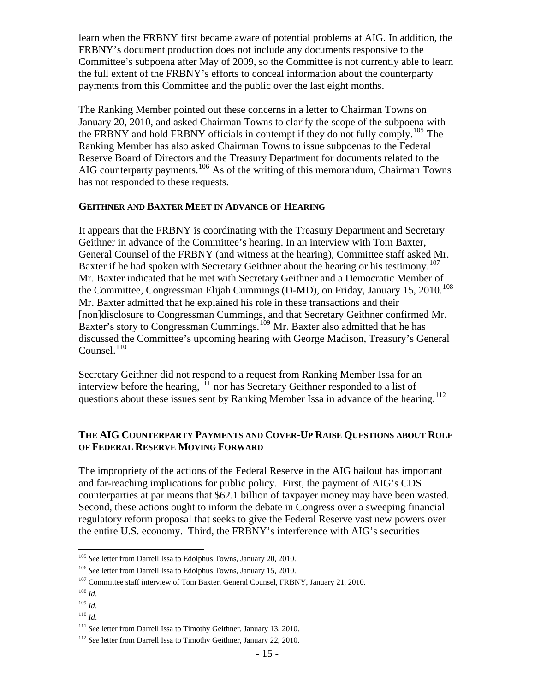learn when the FRBNY first became aware of potential problems at AIG. In addition, the FRBNY's document production does not include any documents responsive to the Committee's subpoena after May of 2009, so the Committee is not currently able to learn the full extent of the FRBNY's efforts to conceal information about the counterparty payments from this Committee and the public over the last eight months.

The Ranking Member pointed out these concerns in a letter to Chairman Towns on January 20, 2010, and asked Chairman Towns to clarify the scope of the subpoena with the FRBNY and hold FRBNY officials in contempt if they do not fully comply.<sup>[105](#page-16-0)</sup> The Ranking Member has also asked Chairman Towns to issue subpoenas to the Federal Reserve Board of Directors and the Treasury Department for documents related to the AIG counterparty payments.<sup>[106](#page-16-1)</sup> As of the writing of this memorandum, Chairman Towns has not responded to these requests.

#### **GEITHNER AND BAXTER MEET IN ADVANCE OF HEARING**

It appears that the FRBNY is coordinating with the Treasury Department and Secretary Geithner in advance of the Committee's hearing. In an interview with Tom Baxter, General Counsel of the FRBNY (and witness at the hearing), Committee staff asked Mr. Baxter if he had spoken with Secretary Geithner about the hearing or his testimony.<sup>[107](#page-16-2)</sup> Mr. Baxter indicated that he met with Secretary Geithner and a Democratic Member of the Committee, Congressman Elijah Cummings (D-MD), on Friday, January 15, 2010.<sup>[108](#page-16-3)</sup> Mr. Baxter admitted that he explained his role in these transactions and their [non]disclosure to Congressman Cummings, and that Secretary Geithner confirmed Mr. Baxter's story to Congressman Cummings.<sup>[109](#page-16-4)</sup> Mr. Baxter also admitted that he has discussed the Committee's upcoming hearing with George Madison, Treasury's General Counsel. $110$ 

Secretary Geithner did not respond to a request from Ranking Member Issa for an interview before the hearing,  $111$  nor has Secretary Geithner responded to a list of questions about these issues sent by Ranking Member Issa in advance of the hearing.<sup>[112](#page-16-7)</sup>

#### **THE AIG COUNTERPARTY PAYMENTS AND COVER-UP RAISE QUESTIONS ABOUT ROLE OF FEDERAL RESERVE MOVING FORWARD**

The impropriety of the actions of the Federal Reserve in the AIG bailout has important and far-reaching implications for public policy. First, the payment of AIG's CDS counterparties at par means that \$62.1 billion of taxpayer money may have been wasted. Second, these actions ought to inform the debate in Congress over a sweeping financial regulatory reform proposal that seeks to give the Federal Reserve vast new powers over the entire U.S. economy. Third, the FRBNY's interference with AIG's securities

<span id="page-16-0"></span><sup>105</sup> *See* letter from Darrell Issa to Edolphus Towns, January 20, 2010.

<span id="page-16-1"></span><sup>106</sup> *See* letter from Darrell Issa to Edolphus Towns, January 15, 2010.

<span id="page-16-2"></span><sup>107</sup> Committee staff interview of Tom Baxter, General Counsel, FRBNY, January 21, 2010.

<span id="page-16-3"></span> $^{108}\,$   $ld.$ 

<span id="page-16-4"></span><sup>109</sup> *Id*.

<span id="page-16-5"></span><sup>110</sup> *Id*.

<span id="page-16-6"></span><sup>111</sup> *See* letter from Darrell Issa to Timothy Geithner, January 13, 2010.

<span id="page-16-7"></span><sup>&</sup>lt;sup>112</sup> *See* letter from Darrell Issa to Timothy Geithner, January 22, 2010.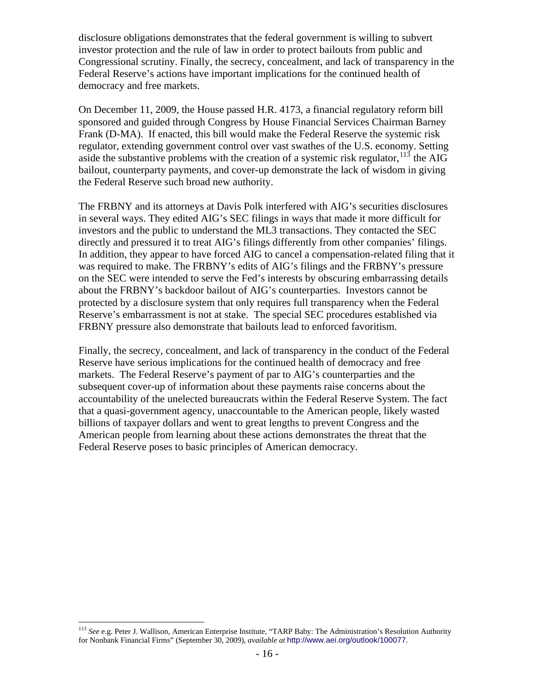disclosure obligations demonstrates that the federal government is willing to subvert investor protection and the rule of law in order to protect bailouts from public and Congressional scrutiny. Finally, the secrecy, concealment, and lack of transparency in the Federal Reserve's actions have important implications for the continued health of democracy and free markets.

On December 11, 2009, the House passed H.R. 4173, a financial regulatory reform bill sponsored and guided through Congress by House Financial Services Chairman Barney Frank (D-MA). If enacted, this bill would make the Federal Reserve the systemic risk regulator, extending government control over vast swathes of the U.S. economy. Setting aside the substantive problems with the creation of a systemic risk regulator,  $^{113}$  $^{113}$  $^{113}$  the AIG bailout, counterparty payments, and cover-up demonstrate the lack of wisdom in giving the Federal Reserve such broad new authority.

The FRBNY and its attorneys at Davis Polk interfered with AIG's securities disclosures in several ways. They edited AIG's SEC filings in ways that made it more difficult for investors and the public to understand the ML3 transactions. They contacted the SEC directly and pressured it to treat AIG's filings differently from other companies' filings. In addition, they appear to have forced AIG to cancel a compensation-related filing that it was required to make. The FRBNY's edits of AIG's filings and the FRBNY's pressure on the SEC were intended to serve the Fed's interests by obscuring embarrassing details about the FRBNY's backdoor bailout of AIG's counterparties. Investors cannot be protected by a disclosure system that only requires full transparency when the Federal Reserve's embarrassment is not at stake. The special SEC procedures established via FRBNY pressure also demonstrate that bailouts lead to enforced favoritism.

Finally, the secrecy, concealment, and lack of transparency in the conduct of the Federal Reserve have serious implications for the continued health of democracy and free markets. The Federal Reserve's payment of par to AIG's counterparties and the subsequent cover-up of information about these payments raise concerns about the accountability of the unelected bureaucrats within the Federal Reserve System. The fact that a quasi-government agency, unaccountable to the American people, likely wasted billions of taxpayer dollars and went to great lengths to prevent Congress and the American people from learning about these actions demonstrates the threat that the Federal Reserve poses to basic principles of American democracy.

<span id="page-17-0"></span><sup>113</sup> *See* e.g. Peter J. Wallison, American Enterprise Institute, "TARP Baby: The Administration's Resolution Authority for Nonbank Financial Firms" (September 30, 2009), *available at* <http://www.aei.org/outlook/100077>.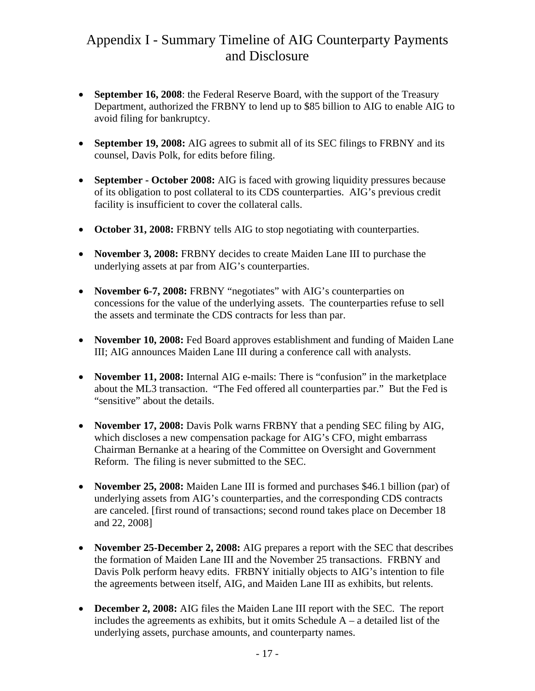## Appendix I - Summary Timeline of AIG Counterparty Payments and Disclosure

- **September 16, 2008**: the Federal Reserve Board, with the support of the Treasury Department, authorized the FRBNY to lend up to \$85 billion to AIG to enable AIG to avoid filing for bankruptcy.
- **September 19, 2008:** AIG agrees to submit all of its SEC filings to FRBNY and its counsel, Davis Polk, for edits before filing.
- **September October 2008:** AIG is faced with growing liquidity pressures because of its obligation to post collateral to its CDS counterparties. AIG's previous credit facility is insufficient to cover the collateral calls.
- **October 31, 2008:** FRBNY tells AIG to stop negotiating with counterparties.
- **November 3, 2008:** FRBNY decides to create Maiden Lane III to purchase the underlying assets at par from AIG's counterparties.
- **November 6-7, 2008: FRBNY** "negotiates" with AIG's counterparties on concessions for the value of the underlying assets. The counterparties refuse to sell the assets and terminate the CDS contracts for less than par.
- **November 10, 2008:** Fed Board approves establishment and funding of Maiden Lane III; AIG announces Maiden Lane III during a conference call with analysts.
- **November 11, 2008:** Internal AIG e-mails: There is "confusion" in the marketplace about the ML3 transaction. "The Fed offered all counterparties par." But the Fed is "sensitive" about the details.
- **November 17, 2008:** Davis Polk warns FRBNY that a pending SEC filing by AIG, which discloses a new compensation package for AIG's CFO, might embarrass Chairman Bernanke at a hearing of the Committee on Oversight and Government Reform. The filing is never submitted to the SEC.
- **November 25, 2008:** Maiden Lane III is formed and purchases \$46.1 billion (par) of underlying assets from AIG's counterparties, and the corresponding CDS contracts are canceled. [first round of transactions; second round takes place on December 18 and 22, 2008]
- **November 25-December 2, 2008:** AIG prepares a report with the SEC that describes the formation of Maiden Lane III and the November 25 transactions. FRBNY and Davis Polk perform heavy edits. FRBNY initially objects to AIG's intention to file the agreements between itself, AIG, and Maiden Lane III as exhibits, but relents.
- **December 2, 2008:** AIG files the Maiden Lane III report with the SEC. The report includes the agreements as exhibits, but it omits Schedule  $A - a$  detailed list of the underlying assets, purchase amounts, and counterparty names.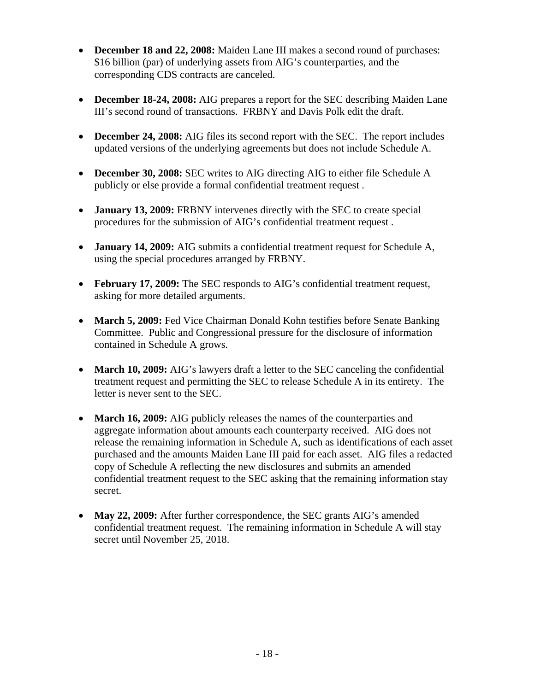- **December 18 and 22, 2008:** Maiden Lane III makes a second round of purchases: \$16 billion (par) of underlying assets from AIG's counterparties, and the corresponding CDS contracts are canceled.
- **December 18-24, 2008:** AIG prepares a report for the SEC describing Maiden Lane III's second round of transactions. FRBNY and Davis Polk edit the draft.
- **December 24, 2008:** AIG files its second report with the SEC. The report includes updated versions of the underlying agreements but does not include Schedule A.
- **December 30, 2008:** SEC writes to AIG directing AIG to either file Schedule A publicly or else provide a formal confidential treatment request .
- **January 13, 2009:** FRBNY intervenes directly with the SEC to create special procedures for the submission of AIG's confidential treatment request .
- **January 14, 2009:** AIG submits a confidential treatment request for Schedule A, using the special procedures arranged by FRBNY.
- **February 17, 2009:** The SEC responds to AIG's confidential treatment request, asking for more detailed arguments.
- March 5, 2009: Fed Vice Chairman Donald Kohn testifies before Senate Banking Committee. Public and Congressional pressure for the disclosure of information contained in Schedule A grows.
- **March 10, 2009:** AIG's lawyers draft a letter to the SEC canceling the confidential treatment request and permitting the SEC to release Schedule A in its entirety. The letter is never sent to the SEC.
- **March 16, 2009:** AIG publicly releases the names of the counterparties and aggregate information about amounts each counterparty received. AIG does not release the remaining information in Schedule A, such as identifications of each asset purchased and the amounts Maiden Lane III paid for each asset. AIG files a redacted copy of Schedule A reflecting the new disclosures and submits an amended confidential treatment request to the SEC asking that the remaining information stay secret.
- **May 22, 2009:** After further correspondence, the SEC grants AIG's amended confidential treatment request. The remaining information in Schedule A will stay secret until November 25, 2018.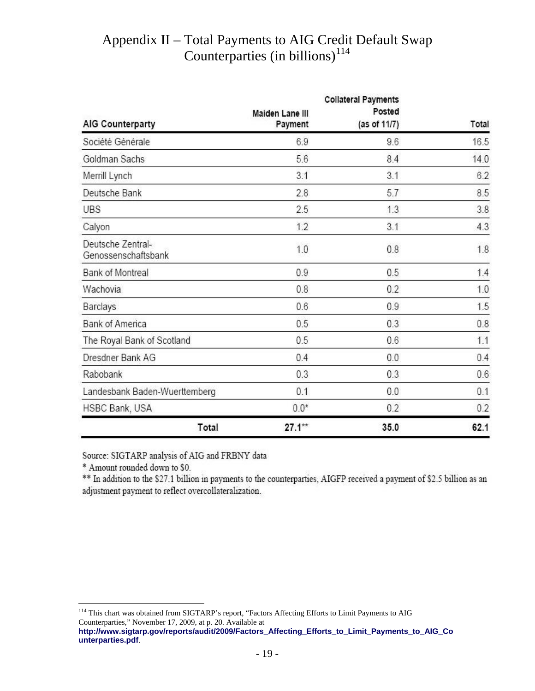# Appendix II – Total Payments to AIG Credit Default Swap Counterparties  $(in\,billions)^{114}$  $(in\,billions)^{114}$  $(in\,billions)^{114}$

| <b>AIG Counterparty</b>                  | <b>Collateral Payments</b> |                        |       |
|------------------------------------------|----------------------------|------------------------|-------|
|                                          | Maiden Lane III<br>Payment | Posted<br>(as of 11/7) | Total |
|                                          |                            |                        |       |
| Goldman Sachs                            | 5.6                        | 8.4                    | 14.0  |
| Merrill Lynch                            | 3.1                        | 3.1                    | 6.2   |
| Deutsche Bank                            | 2.8                        | 5.7                    | 8.5   |
| <b>UBS</b>                               | 2.5                        | 1.3                    | 3.8   |
| Calyon                                   | 1.2                        | 3.1                    | 4.3   |
| Deutsche Zentral-<br>Genossenschaftsbank | 1.0                        | 0.8                    | 1.8   |
| Bank of Montreal                         | 0.9                        | 0.5                    | 1.4   |
| Wachovia                                 | 0.8                        | 0.2                    | 1.0   |
| Barclays                                 | 0.6                        | 0.9                    | 1.5   |
| <b>Bank of America</b>                   | 0.5                        | 0.3                    | 0.8   |
| The Royal Bank of Scotland               | 0.5                        | 0.6                    | 1.1   |
| Dresdner Bank AG                         | 0.4                        | 0.0                    | 0.4   |
| Rabobank                                 | 0.3                        | 0.3                    | 0.6   |
| Landesbank Baden-Wuerttemberg            | 0.1                        | 0.0                    | 0.1   |
| HSBC Bank, USA                           | $0.0*$                     | 0.2                    | 0.2   |
| Total                                    | $27.1**$                   | 35.0                   | 62.1  |

Source: SIGTARP analysis of AIG and FRBNY data

\* Amount rounded down to \$0.

\*\* In addition to the \$27.1 billion in payments to the counterparties, AIGFP received a payment of \$2.5 billion as an adjustment payment to reflect overcollateralization.

<span id="page-20-0"></span><sup>1</sup> <sup>114</sup> This chart was obtained from SIGTARP's report, "Factors Affecting Efforts to Limit Payments to AIG Counterparties," November 17, 2009, at p. 20. Available at

**[http://www.sigtarp.gov/reports/audit/2009/Factors\\_Affecting\\_Efforts\\_to\\_Limit\\_Payments\\_to\\_AIG\\_Co](http://www.sigtarp.gov/reports/audit/2009/Factors_Affecting_Efforts_to_Limit_Payments_to_AIG_Counterparties.pdf) [unterparties.pdf](http://www.sigtarp.gov/reports/audit/2009/Factors_Affecting_Efforts_to_Limit_Payments_to_AIG_Counterparties.pdf)**.